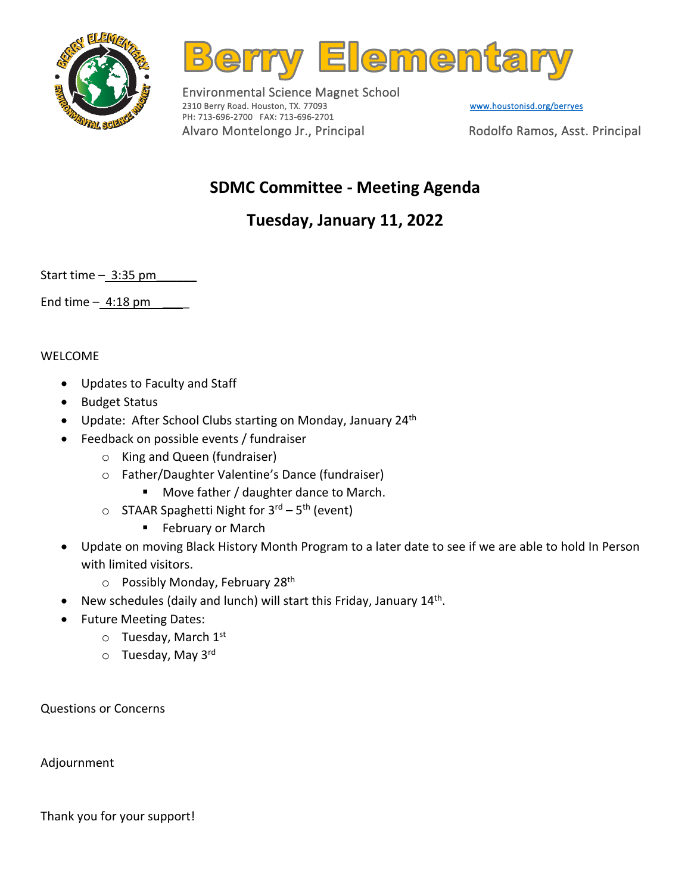



Environmental Science Magnet School 2310 Berry Road. Houston, TX. 77093 Www.houstonisd.org/berryes PH: 713-696-2700 FAX: 713-696-2701 Alvaro Montelongo Jr., Principal Rodolfo Ramos, Asst. Principal

## **SDMC Committee - Meeting Agenda**

## **Tuesday, January 11, 2022**

Start time  $-3:35$  pm

End time  $-4:18$  pm

WELCOME

- Updates to Faculty and Staff
- Budget Status
- Update: After School Clubs starting on Monday, January 24<sup>th</sup>
- Feedback on possible events / fundraiser
	- o King and Queen (fundraiser)
	- o Father/Daughter Valentine's Dance (fundraiser)
		- Move father / daughter dance to March.
	- o STAAR Spaghetti Night for 3<sup>rd</sup> 5<sup>th</sup> (event)
		- February or March
- Update on moving Black History Month Program to a later date to see if we are able to hold In Person with limited visitors.
	- $\circ$  Possibly Monday, February 28<sup>th</sup>
- New schedules (daily and lunch) will start this Friday, January 14<sup>th</sup>.
- Future Meeting Dates:
	- $\circ$  Tuesday, March 1st
	- o Tuesday, May 3rd

Questions or Concerns

Adjournment

Thank you for your support!